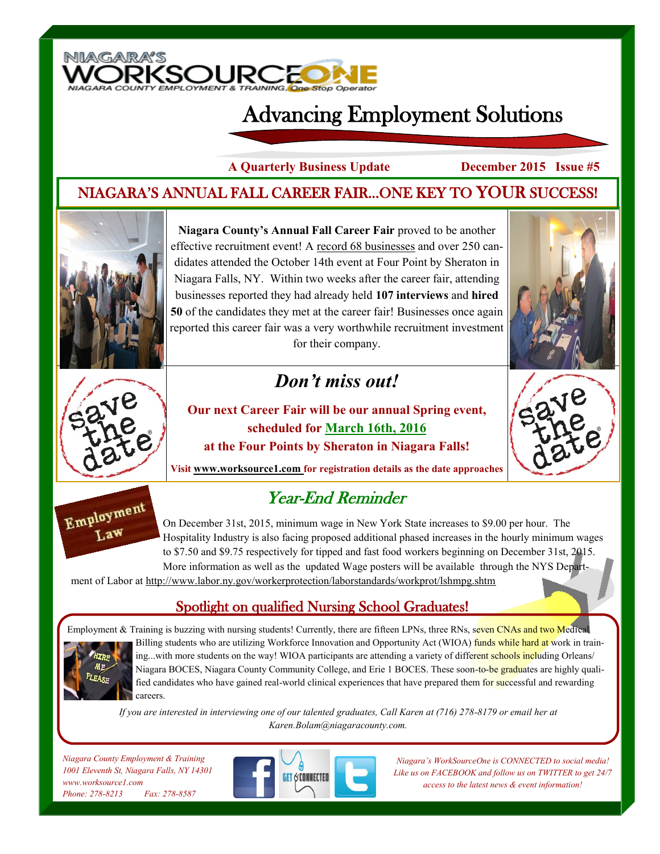

# Advancing Employment Solutions

**A Quarterly Business Update December 2015 Issue #5**

#### NIAGARA'S ANNUAL FALL CAREER FAIR...ONE KEY TO YOUR SUCCESS!



**Niagara County's Annual Fall Career Fair** proved to be another effective recruitment event! A record 68 businesses and over 250 candidates attended the October 14th event at Four Point by Sheraton in Niagara Falls, NY. Within two weeks after the career fair, attending businesses reported they had already held **107 interviews** and **hired 50** of the candidates they met at the career fair! Businesses once again reported this career fair was a very worthwhile recruitment investment for their company.

# *Don't miss out!*





Employment Law

**Our next Career Fair will be our annual Spring event, scheduled for March 16th, 2016 at the Four Points by Sheraton in Niagara Falls!** 



**Visit www.worksource1.com for registration details as the date approaches**

### Year-End Reminder

On December 31st, 2015, minimum wage in New York State increases to \$9.00 per hour. The Hospitality Industry is also facing proposed additional phased increases in the hourly minimum wages to \$7.50 and \$9.75 respectively for tipped and fast food workers beginning on December 31st, 2015. More information as well as the updated Wage posters will be available through the NYS Depart-

ment of Labor at http://www.labor.ny.gov/workerprotection/laborstandards/workprot/lshmpg.shtm

#### Spotlight on qualified Nursing School Graduates!



Employment & Training is buzzing with nursing students! Currently, there are fifteen LPNs, three RNs, seven CNAs and two Medical Billing students who are utilizing Workforce Innovation and Opportunity Act (WIOA) funds while hard at work in training...with more students on the way! WIOA participants are attending a variety of different schools including Orleans/ Niagara BOCES, Niagara County Community College, and Erie 1 BOCES. These soon-to-be graduates are highly qualified candidates who have gained real-world clinical experiences that have prepared them for successful and rewarding careers.

*If you are interested in interviewing one of our talented graduates, Call Karen at (716) 278-8179 or email her at Karen.Bolam@niagaracounty.com.*

*Niagara County Employment & Training 1001 Eleventh St, Niagara Falls, NY 14301 www.worksource1.com Phone: 278-8213 Fax: 278-8587*



*Niagara's WorkSourceOne is CONNECTED to social media! Like us on FACEBOOK and follow us on TWITTER to get 24/7 access to the latest news & event information!*